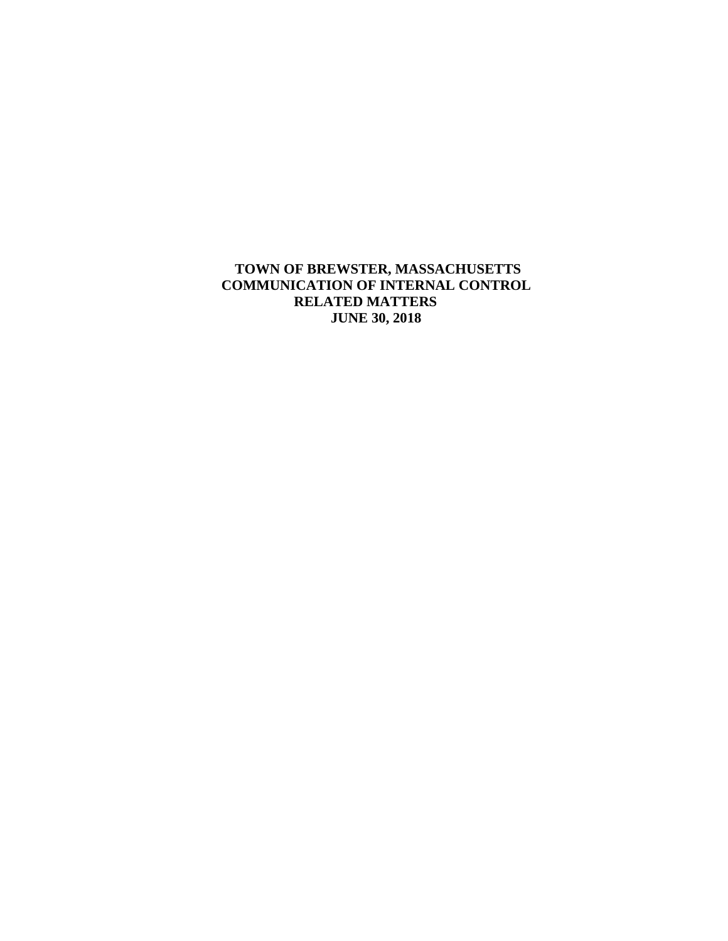**TOWN OF BREWSTER, MASSACHUSETTS COMMUNICATION OF INTERNAL CONTROL RELATED MATTERS JUNE 30, 2018**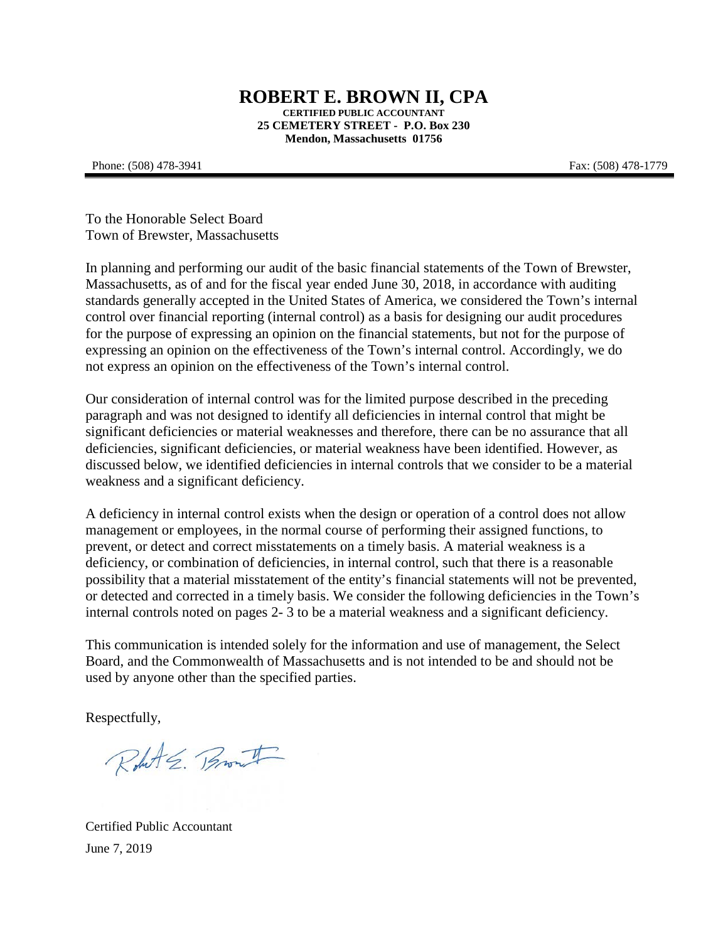#### **ROBERT E. BROWN II, CPA CERTIFIED PUBLIC ACCOUNTANT 25 CEMETERY STREET - P.O. Box 230 Mendon, Massachusetts 01756**

#### Phone: (508) 478-3941 Fax: (508) 478-1779

To the Honorable Select Board Town of Brewster, Massachusetts

In planning and performing our audit of the basic financial statements of the Town of Brewster, Massachusetts, as of and for the fiscal year ended June 30, 2018, in accordance with auditing standards generally accepted in the United States of America, we considered the Town's internal control over financial reporting (internal control) as a basis for designing our audit procedures for the purpose of expressing an opinion on the financial statements, but not for the purpose of expressing an opinion on the effectiveness of the Town's internal control. Accordingly, we do not express an opinion on the effectiveness of the Town's internal control.

Our consideration of internal control was for the limited purpose described in the preceding paragraph and was not designed to identify all deficiencies in internal control that might be significant deficiencies or material weaknesses and therefore, there can be no assurance that all deficiencies, significant deficiencies, or material weakness have been identified. However, as discussed below, we identified deficiencies in internal controls that we consider to be a material weakness and a significant deficiency.

A deficiency in internal control exists when the design or operation of a control does not allow management or employees, in the normal course of performing their assigned functions, to prevent, or detect and correct misstatements on a timely basis. A material weakness is a deficiency, or combination of deficiencies, in internal control, such that there is a reasonable possibility that a material misstatement of the entity's financial statements will not be prevented, or detected and corrected in a timely basis. We consider the following deficiencies in the Town's internal controls noted on pages 2- 3 to be a material weakness and a significant deficiency.

This communication is intended solely for the information and use of management, the Select Board, and the Commonwealth of Massachusetts and is not intended to be and should not be used by anyone other than the specified parties.

Respectfully,

Robert E. Brout

Certified Public Accountant June 7, 2019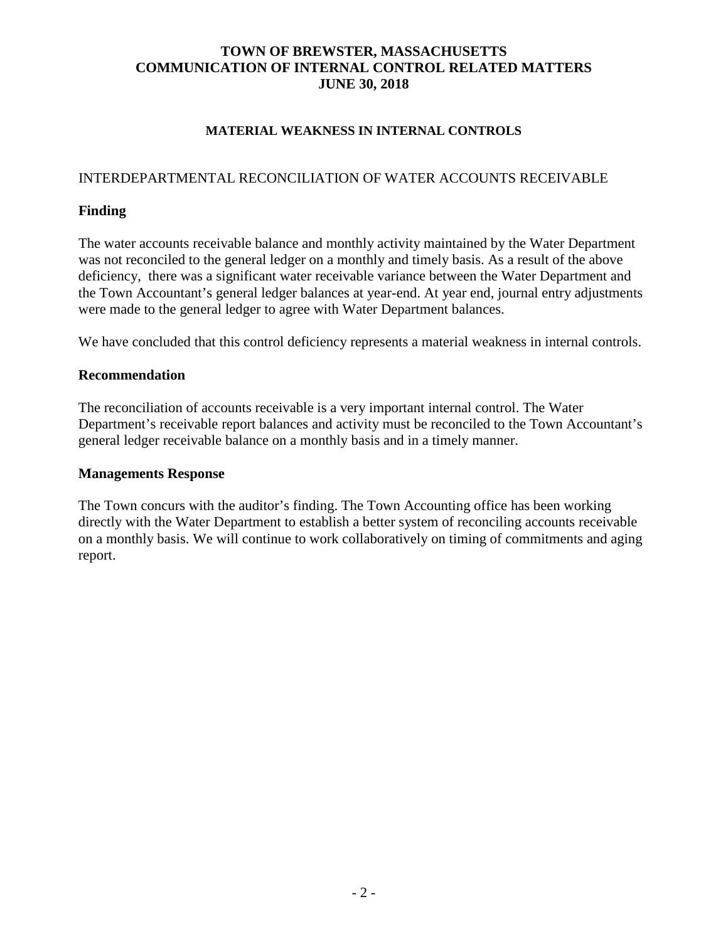# **TOWN OF BREWSTER, MASSACHUSETTS COMMUNICATION OF INTERNAL CONTROL RELATED MATTERS JUNE 30, 2018**

#### **MATERIAL WEAKNESS IN INTERNAL CONTROLS**

# INTERDEPARTMENTAL RECONCILIATION OF WATER ACCOUNTS RECEIVABLE

## **Finding**

The water accounts receivable balance and monthly activity maintained by the Water Department was not reconciled to the general ledger on a monthly and timely basis. As a result of the above deficiency, there was a significant water receivable variance between the Water Department and the Town Accountant's general ledger balances at year-end. At year end, journal entry adjustments were made to the general ledger to agree with Water Department balances.

We have concluded that this control deficiency represents a material weakness in internal controls.

#### **Recommendation**

The reconciliation of accounts receivable is a very important internal control. The Water Department's receivable report balances and activity must be reconciled to the Town Accountant's general ledger receivable balance on a monthly basis and in a timely manner.

#### **Managements Response**

The Town concurs with the auditor's finding. The Town Accounting office has been working directly with the Water Department to establish a better system of reconciling accounts receivable on a monthly basis. We will continue to work collaboratively on timing of commitments and aging report.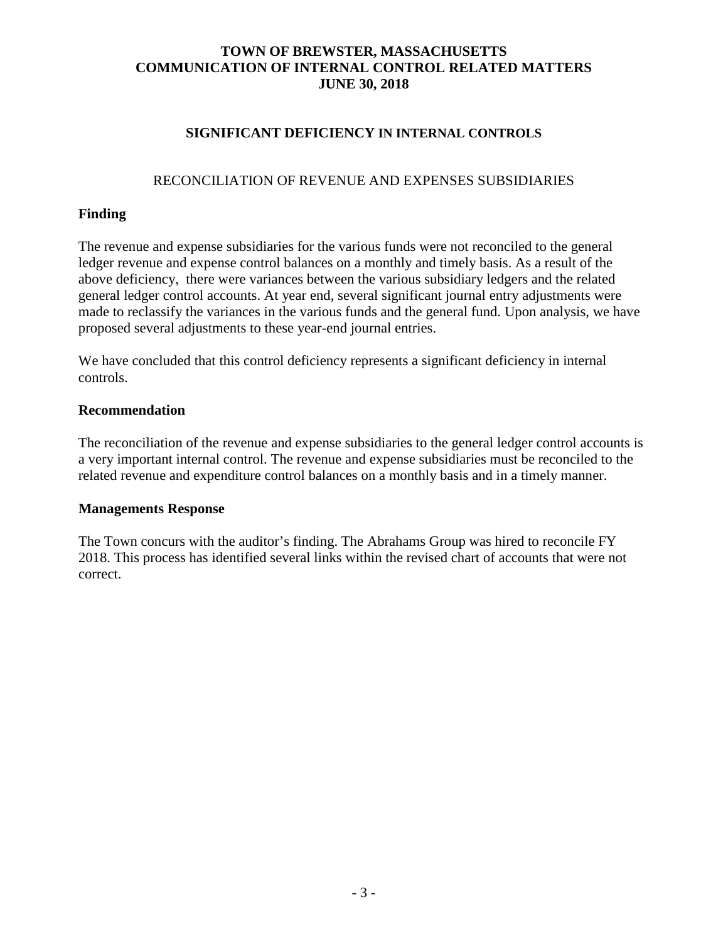# **TOWN OF BREWSTER, MASSACHUSETTS COMMUNICATION OF INTERNAL CONTROL RELATED MATTERS JUNE 30, 2018**

# **SIGNIFICANT DEFICIENCY IN INTERNAL CONTROLS**

## RECONCILIATION OF REVENUE AND EXPENSES SUBSIDIARIES

# **Finding**

The revenue and expense subsidiaries for the various funds were not reconciled to the general ledger revenue and expense control balances on a monthly and timely basis. As a result of the above deficiency, there were variances between the various subsidiary ledgers and the related general ledger control accounts. At year end, several significant journal entry adjustments were made to reclassify the variances in the various funds and the general fund. Upon analysis, we have proposed several adjustments to these year-end journal entries.

We have concluded that this control deficiency represents a significant deficiency in internal controls.

#### **Recommendation**

The reconciliation of the revenue and expense subsidiaries to the general ledger control accounts is a very important internal control. The revenue and expense subsidiaries must be reconciled to the related revenue and expenditure control balances on a monthly basis and in a timely manner.

#### **Managements Response**

The Town concurs with the auditor's finding. The Abrahams Group was hired to reconcile FY 2018. This process has identified several links within the revised chart of accounts that were not correct.